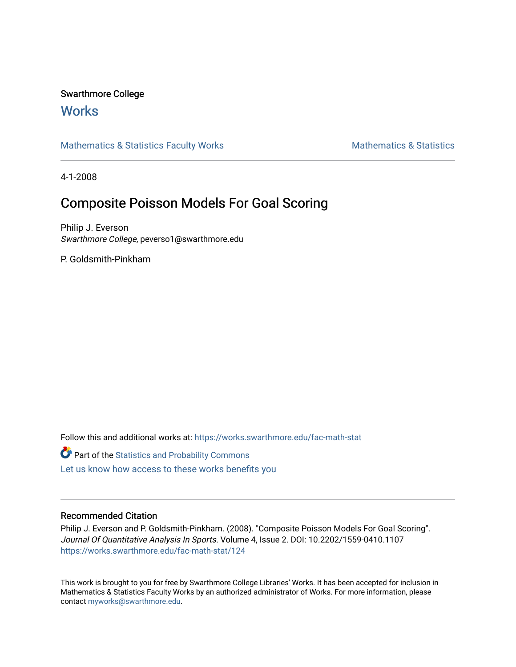### Swarthmore College

## **Works**

[Mathematics & Statistics Faculty Works](https://works.swarthmore.edu/fac-math-stat) [Mathematics & Statistics](https://works.swarthmore.edu/math-stat) **Mathematics** & Statistics

4-1-2008

## Composite Poisson Models For Goal Scoring

Philip J. Everson Swarthmore College, peverso1@swarthmore.edu

P. Goldsmith-Pinkham

Follow this and additional works at: [https://works.swarthmore.edu/fac-math-stat](https://works.swarthmore.edu/fac-math-stat?utm_source=works.swarthmore.edu%2Ffac-math-stat%2F124&utm_medium=PDF&utm_campaign=PDFCoverPages)

**C** Part of the [Statistics and Probability Commons](http://network.bepress.com/hgg/discipline/208?utm_source=works.swarthmore.edu%2Ffac-math-stat%2F124&utm_medium=PDF&utm_campaign=PDFCoverPages)

[Let us know how access to these works benefits you](https://forms.gle/4MB8mE2GywC5965J8) 

#### Recommended Citation

Philip J. Everson and P. Goldsmith-Pinkham. (2008). "Composite Poisson Models For Goal Scoring". Journal Of Quantitative Analysis In Sports. Volume 4, Issue 2. DOI: 10.2202/1559-0410.1107 <https://works.swarthmore.edu/fac-math-stat/124>

This work is brought to you for free by Swarthmore College Libraries' Works. It has been accepted for inclusion in Mathematics & Statistics Faculty Works by an authorized administrator of Works. For more information, please contact [myworks@swarthmore.edu](mailto:myworks@swarthmore.edu).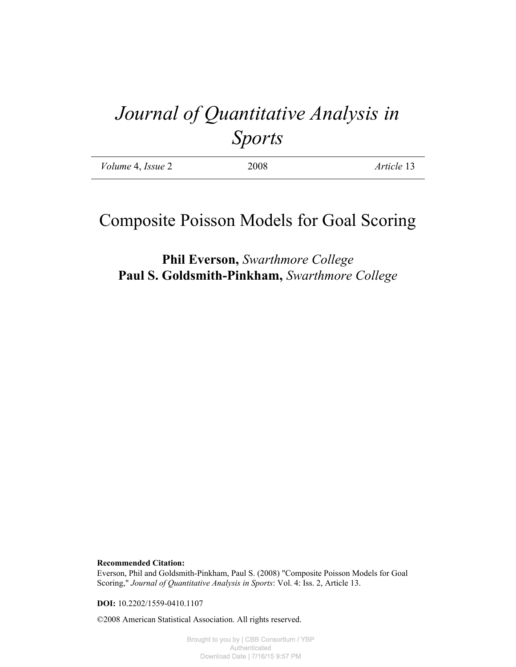# *Journal of Quantitative Analysis in Sports*

| <i>Volume</i> 4, <i>Issue</i> 2 | 2008 | Article 13 |
|---------------------------------|------|------------|
|                                 |      |            |

## Composite Poisson Models for Goal Scoring

## **Phil Everson,** *Swarthmore College* **Paul S. Goldsmith-Pinkham,** *Swarthmore College*

**Recommended Citation:**

Everson, Phil and Goldsmith-Pinkham, Paul S. (2008) "Composite Poisson Models for Goal Scoring," *Journal of Quantitative Analysis in Sports*: Vol. 4: Iss. 2, Article 13.

**DOI:** 10.2202/1559-0410.1107

©2008 American Statistical Association. All rights reserved.

Brought to you by | CBB Consortium / YBP Authenticated Download Date | 7/16/15 9:57 PM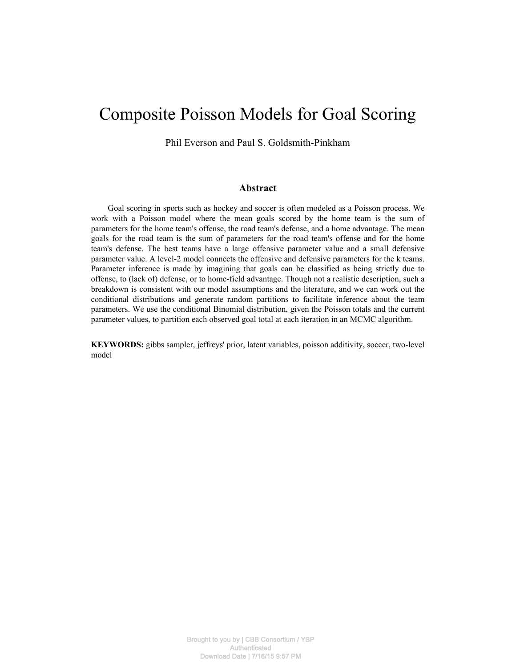## Composite Poisson Models for Goal Scoring

Phil Everson and Paul S. Goldsmith-Pinkham

#### **Abstract**

Goal scoring in sports such as hockey and soccer is often modeled as a Poisson process. We work with a Poisson model where the mean goals scored by the home team is the sum of parameters for the home team's offense, the road team's defense, and a home advantage. The mean goals for the road team is the sum of parameters for the road team's offense and for the home team's defense. The best teams have a large offensive parameter value and a small defensive parameter value. A level-2 model connects the offensive and defensive parameters for the k teams. Parameter inference is made by imagining that goals can be classified as being strictly due to offense, to (lack of) defense, or to home-field advantage. Though not a realistic description, such a breakdown is consistent with our model assumptions and the literature, and we can work out the conditional distributions and generate random partitions to facilitate inference about the team parameters. We use the conditional Binomial distribution, given the Poisson totals and the current parameter values, to partition each observed goal total at each iteration in an MCMC algorithm.

**KEYWORDS:** gibbs sampler, jeffreys' prior, latent variables, poisson additivity, soccer, two-level model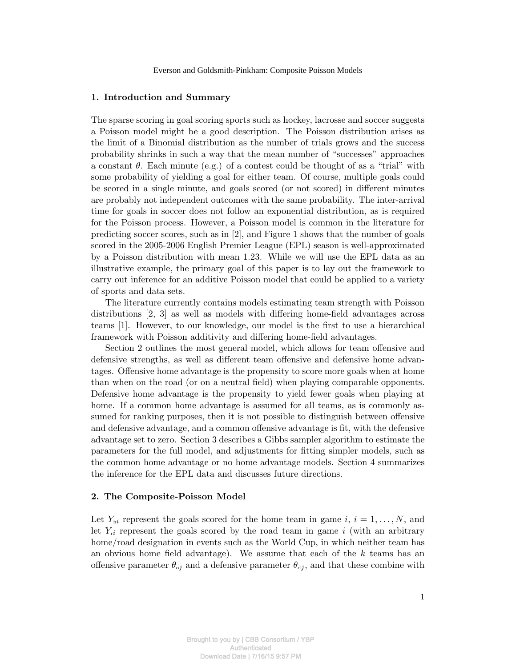#### 1. Introduction and Summary

The sparse scoring in goal scoring sports such as hockey, lacrosse and soccer suggests a Poisson model might be a good description. The Poisson distribution arises as the limit of a Binomial distribution as the number of trials grows and the success probability shrinks in such a way that the mean number of "successes" approaches a constant  $\theta$ . Each minute (e.g.) of a contest could be thought of as a "trial" with some probability of yielding a goal for either team. Of course, multiple goals could be scored in a single minute, and goals scored (or not scored) in different minutes are probably not independent outcomes with the same probability. The inter-arrival time for goals in soccer does not follow an exponential distribution, as is required for the Poisson process. However, a Poisson model is common in the literature for predicting soccer scores, such as in [2], and Figure 1 shows that the number of goals scored in the 2005-2006 English Premier League (EPL) season is well-approximated by a Poisson distribution with mean 1.23. While we will use the EPL data as an illustrative example, the primary goal of this paper is to lay out the framework to carry out inference for an additive Poisson model that could be applied to a variety of sports and data sets.

The literature currently contains models estimating team strength with Poisson distributions [2, 3] as well as models with differing home-field advantages across teams [1]. However, to our knowledge, our model is the first to use a hierarchical framework with Poisson additivity and differing home-field advantages.

Section 2 outlines the most general model, which allows for team offensive and defensive strengths, as well as different team offensive and defensive home advantages. Offensive home advantage is the propensity to score more goals when at home than when on the road (or on a neutral field) when playing comparable opponents. Defensive home advantage is the propensity to yield fewer goals when playing at home. If a common home advantage is assumed for all teams, as is commonly assumed for ranking purposes, then it is not possible to distinguish between offensive and defensive advantage, and a common offensive advantage is fit, with the defensive advantage set to zero. Section 3 describes a Gibbs sampler algorithm to estimate the parameters for the full model, and adjustments for fitting simpler models, such as the common home advantage or no home advantage models. Section 4 summarizes the inference for the EPL data and discusses future directions.

#### 2. The Composite-Poisson Model

Let  $Y_{hi}$  represent the goals scored for the home team in game i,  $i = 1, \ldots, N$ , and let  $Y_{ri}$  represent the goals scored by the road team in game i (with an arbitrary home/road designation in events such as the World Cup, in which neither team has an obvious home field advantage). We assume that each of the  $k$  teams has an offensive parameter  $\theta_{oj}$  and a defensive parameter  $\theta_{dj}$ , and that these combine with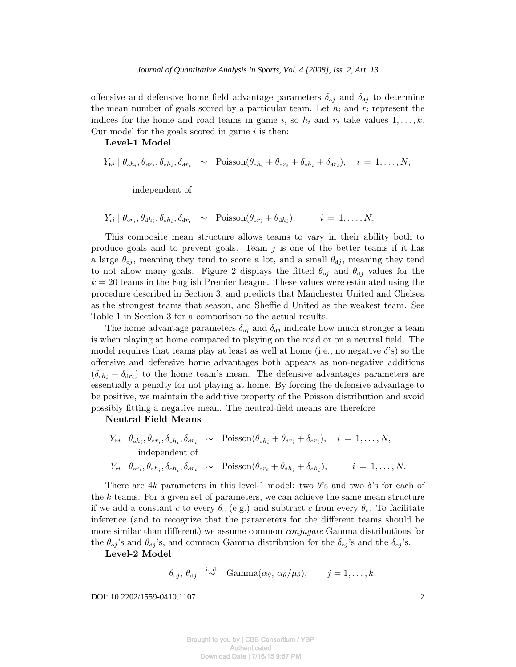offensive and defensive home field advantage parameters  $\delta_{oj}$  and  $\delta_{dj}$  to determine the mean number of goals scored by a particular team. Let  $h_i$  and  $r_i$  represent the indices for the home and road teams in game i, so  $h_i$  and  $r_i$  take values  $1, \ldots, k$ . Our model for the goals scored in game  $i$  is then:

Level-1 Model

 $Y_{hi} | \theta_{oh_i}, \theta_{dr_i}, \delta_{oh_i}, \delta_{dr_i} \sim \text{Poisson}(\theta_{oh_i} + \theta_{dr_i} + \delta_{oh_i} + \delta_{dr_i}), \quad i = 1, ..., N,$ 

independent of

 $Y_{ri} | \theta_{\text{or}_i}, \theta_{\text{d}h_i}, \delta_{\text{d}h_i}, \delta_{\text{d}r_i} \sim \text{Poisson}(\theta_{\text{or}_i} + \theta_{\text{d}h_i}), \qquad i = 1, ..., N.$ 

This composite mean structure allows teams to vary in their ability both to produce goals and to prevent goals. Team  $j$  is one of the better teams if it has a large  $\theta_{oj}$ , meaning they tend to score a lot, and a small  $\theta_{dj}$ , meaning they tend to not allow many goals. Figure 2 displays the fitted  $\theta_{oj}$  and  $\theta_{dj}$  values for the  $k = 20$  teams in the English Premier League. These values were estimated using the procedure described in Section 3, and predicts that Manchester United and Chelsea as the strongest teams that season, and Sheffield United as the weakest team. See Table 1 in Section 3 for a comparison to the actual results.

The home advantage parameters  $\delta_{oj}$  and  $\delta_{dj}$  indicate how much stronger a team is when playing at home compared to playing on the road or on a neutral field. The model requires that teams play at least as well at home (i.e., no negative  $\delta$ 's) so the offensive and defensive home advantages both appears as non-negative additions  $(\delta_{oh_i} + \delta_{dr_i})$  to the home team's mean. The defensive advantages parameters are essentially a penalty for not playing at home. By forcing the defensive advantage to be positive, we maintain the additive property of the Poisson distribution and avoid possibly fitting a negative mean. The neutral-field means are therefore

Neutral Field Means

$$
Y_{hi} | \theta_{oh_i}, \theta_{dr_i}, \delta_{oh_i}, \delta_{dr_i} \sim \text{Poisson}(\theta_{oh_i} + \theta_{dr_i} + \delta_{dr_i}), \quad i = 1, ..., N,
$$
  
independent of  

$$
Y_{ri} | \theta_{or_i}, \theta_{dh_i}, \delta_{oh_i}, \delta_{dr_i} \sim \text{Poisson}(\theta_{or_i} + \theta_{dh_i} + \delta_{dh_i}), \qquad i = 1, ..., N.
$$

There are 4k parameters in this level-1 model: two  $\theta$ 's and two  $\delta$ 's for each of the  $k$  teams. For a given set of parameters, we can achieve the same mean structure if we add a constant c to every  $\theta_0$  (e.g.) and subtract c from every  $\theta_d$ . To facilitate inference (and to recognize that the parameters for the different teams should be more similar than different) we assume common *conjugate* Gamma distributions for the  $\theta_{oj}$ 's and  $\theta_{dj}$ 's, and common Gamma distribution for the  $\delta_{oj}$ 's and the  $\delta_{oj}$ 's.

Level-2 Model

 $\theta_{\rm oj}, \theta_{\rm dj} \;\; \stackrel{\rm i.i.d.}{\sim}\;\; \text{Gamma}(\alpha_\theta, \, \alpha_\theta/\mu_\theta), \qquad j=1,\ldots,k,$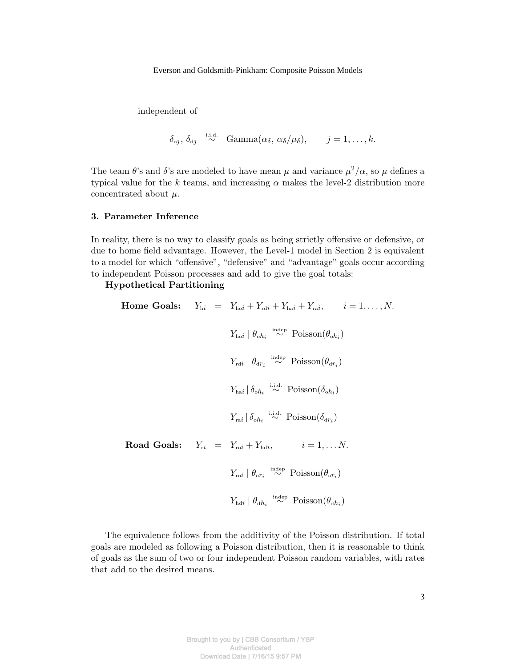independent of

$$
\delta_{\text{o}j}, \delta_{\text{d}j} \overset{\text{i.i.d.}}{\sim} \text{Gamma}(\alpha_{\delta}, \alpha_{\delta}/\mu_{\delta}), \qquad j = 1, \ldots, k.
$$

The team  $\theta$ 's and  $\delta$ 's are modeled to have mean  $\mu$  and variance  $\mu^2/\alpha$ , so  $\mu$  defines a typical value for the k teams, and increasing  $\alpha$  makes the level-2 distribution more concentrated about  $\mu$ .

#### 3. Parameter Inference

In reality, there is no way to classify goals as being strictly offensive or defensive, or due to home field advantage. However, the Level-1 model in Section 2 is equivalent to a model for which "offensive", "defensive" and "advantage" goals occur according to independent Poisson processes and add to give the goal totals:

#### Hypothetical Partitioning

Home Goals:  $Y_{hi} = Y_{hoi} + Y_{radi} + Y_{hai} + Y_{rai}, \quad i = 1, \ldots, N.$  $Y_{\text{ho}i} | \theta_{\text{o}h_i} \stackrel{\text{indep}}{\sim} \text{Poisson}(\theta_{\text{o}h_i})$  $Y_{\text{rd}i} | \theta_{\text{dr}_i} \stackrel{\text{indep}}{\sim} \text{Poisson}(\theta_{\text{dr}_i})$  $Y_{\text{hai}} | \delta_{\text{oh}_i} \stackrel{\text{i.i.d.}}{\sim} \text{Poisson}(\delta_{\text{oh}_i})$  $Y_{\text{rai}} \mid \delta_{\text{oh}_i} \stackrel{\text{i.i.d.}}{\sim} \text{Poisson}(\delta_{\text{dr}_i})$ **Road Goals:**  $Y_{ri} = Y_{\text{rot}} + Y_{\text{hdi}}, \qquad i = 1, \dots N.$  $Y_{\text{roi}} \mid \theta_{\text{or}_i} \stackrel{\text{indep}}{\sim} \text{Poisson}(\theta_{\text{or}_i})$  $Y_{\text{hdi}} \mid \theta_{\text{d}h_i} \stackrel{\text{indep}}{\sim} \text{Poisson}(\theta_{\text{d}h_i})$ 

The equivalence follows from the additivity of the Poisson distribution. If total goals are modeled as following a Poisson distribution, then it is reasonable to think of goals as the sum of two or four independent Poisson random variables, with rates that add to the desired means.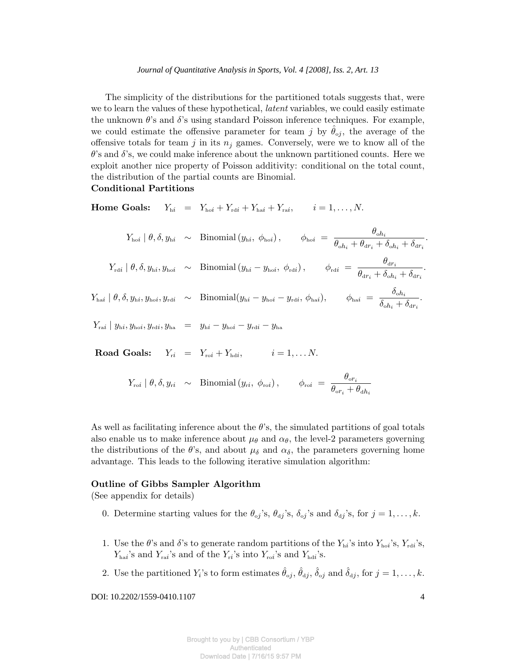#### *Journal of Quantitative Analysis in Sports, Vol. 4 [2008], Iss. 2, Art. 13*

The simplicity of the distributions for the partitioned totals suggests that, were we to learn the values of these hypothetical, *latent* variables, we could easily estimate the unknown  $\theta$ 's and  $\delta$ 's using standard Poisson inference techniques. For example, we could estimate the offensive parameter for team j by  $\theta_{oj}$ , the average of the offensive totals for team j in its  $n_j$  games. Conversely, were we to know all of the  $\theta$ 's and  $\delta$ 's, we could make inference about the unknown partitioned counts. Here we exploit another nice property of Poisson additivity: conditional on the total count, the distribution of the partial counts are Binomial.

#### Conditional Partitions

Home Goals:  $Y_{hi} = Y_{hoi} + Y_{rdi} + Y_{hai} + Y_{rai}, \quad i = 1, ..., N.$ 

 $Y_{\text{ho}i} \mid \theta, \delta, y_{\text{h}i} \sim \text{Binomial}(y_{\text{h}i}, \phi_{\text{ho}i}), \qquad \phi_{\text{ho}i} = \frac{\theta_{\text{o}h}}{\theta_{\text{p}i} + \theta_{\text{p}i}}$  $\overline{\theta_{\circ h_i}+\theta_{\circ r_i}+\delta_{\circ h_i}+\delta_{\circ r_i}}.$  $Y_{\text{rd}i} \mid \theta, \delta, y_{\text{h}i}, y_{\text{ho}i} \;\;\sim\;\; \text{Binomial}\left(y_{\text{h}i} - y_{\text{ho}i}, \; \phi_{\text{rd}i}\right), \qquad \phi_{\text{rd}i} \;=\; \frac{\theta_{\text{dr}_i}}{\theta_{\text{d}i}}.$  $\overline{\theta_{\mathtt{d}r_i} + \delta_{\mathtt{o}h_i} + \delta_{\mathtt{d}r_i}}.$  $Y_{\text{hai}} \mid \theta, \delta, y_{\text{h}i}, y_{\text{hoi}}, y_{\text{rd}i} \;\;\sim\;\; \text{Binomial}(y_{\text{h}i} - y_{\text{hoi}} - y_{\text{rd}i}, \, \phi_{\text{hai}}), \;\;\;\;\;\; \phi_{\text{hai}} \;=\; \frac{\delta_{oh_i}}{\mathsf{s}}$  $\frac{\delta_{\textit{oh}_i}}{\delta_{\textit{oh}_i} + \delta_{\textit{dr}_i}}$ .  $Y_{\text{r}ai} | y_{\text{h}i}, y_{\text{h}oi}, y_{\text{r}di}, y_{\text{h}a} = y_{\text{h}i} - y_{\text{h}oi} - y_{\text{r}di} - y_{\text{h}a}$ Road Goals:  $Y_{ri} = Y_{\text{rot}} + Y_{\text{hdi}}$ ,  $i = 1, \dots N$ .

$$
Y_{\rm rot} | \theta, \delta, y_{\rm ri} \sim \text{Binomial}(y_{\rm ri}, \phi_{\rm rot}), \qquad \phi_{\rm rot} = \frac{\theta_{\rm or_i}}{\theta_{\rm or_i} + \theta_{\rm d} h_i}
$$

As well as facilitating inference about the  $\theta$ 's, the simulated partitions of goal totals also enable us to make inference about  $\mu_{\theta}$  and  $\alpha_{\theta}$ , the level-2 parameters governing the distributions of the  $\theta$ 's, and about  $\mu_{\delta}$  and  $\alpha_{\delta}$ , the parameters governing home advantage. This leads to the following iterative simulation algorithm:

#### Outline of Gibbs Sampler Algorithm

(See appendix for details)

- 0. Determine starting values for the  $\theta_{oj}$ 's,  $\theta_{dj}$ 's,  $\delta_{oj}$ 's and  $\delta_{dj}$ 's, for  $j = 1, \ldots, k$ .
- 1. Use the  $\theta$ 's and  $\delta$ 's to generate random partitions of the  $Y_{hi}$ 's into  $Y_{hoi}$ 's,  $Y_{rdi}$ 's,  $Y_{\text{hai}}$ 's and  $Y_{\text{rai}}$ 's and of the  $Y_{\text{ri}}$ 's into  $Y_{\text{roi}}$ 's and  $Y_{\text{hdi}}$ 's.
- 2. Use the partitioned  $Y_i$ 's to form estimates  $\hat{\theta}_{oj}$ ,  $\hat{\theta}_{dj}$ ,  $\hat{\delta}_{oj}$  and  $\hat{\delta}_{dj}$ , for  $j = 1, \ldots, k$ .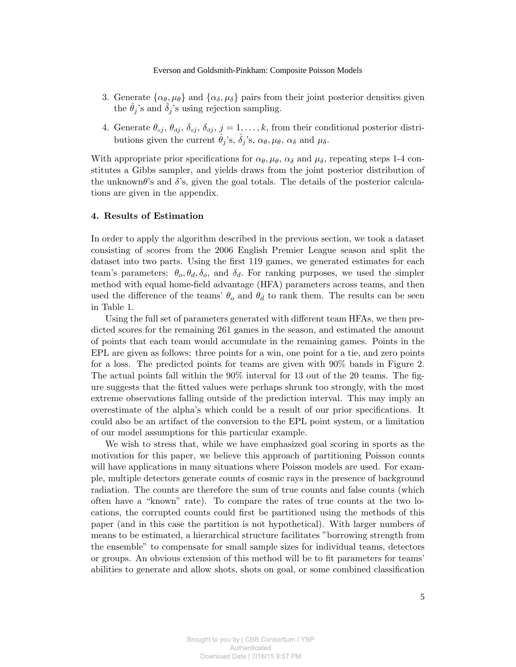- 3. Generate  $\{\alpha_{\theta}, \mu_{\theta}\}$  and  $\{\alpha_{\delta}, \mu_{\delta}\}$  pairs from their joint posterior densities given the  $\theta_j$ 's and  $\delta_j$ 's using rejection sampling.
- 4. Generate  $\theta_{oj}, \theta_{dj}, \delta_{oj}, \delta_{dj}, j = 1, \ldots, k$ , from their conditional posterior distributions given the current  $\hat{\theta}_j$ 's,  $\hat{\delta}_j$ 's,  $\alpha_\theta, \mu_\theta, \alpha_\delta$  and  $\mu_\delta$ .

With appropriate prior specifications for  $\alpha_{\theta}, \mu_{\theta}, \alpha_{\delta}$  and  $\mu_{\delta}$ , repeating steps 1-4 constitutes a Gibbs sampler, and yields draws from the joint posterior distribution of the unknown $\theta$ 's and  $\delta$ 's, given the goal totals. The details of the posterior calculations are given in the appendix.

#### 4. Results of Estimation

In order to apply the algorithm described in the previous section, we took a dataset consisting of scores from the 2006 English Premier League season and split the dataset into two parts. Using the first 119 games, we generated estimates for each team's parameters:  $\theta_o$ ,  $\theta_d$ ,  $\delta_o$ , and  $\delta_d$ . For ranking purposes, we used the simpler method with equal home-field advantage (HFA) parameters across teams, and then used the difference of the teams'  $\theta_o$  and  $\theta_d$  to rank them. The results can be seen in Table 1.

Using the full set of parameters generated with different team HFAs, we then predicted scores for the remaining 261 games in the season, and estimated the amount of points that each team would accumulate in the remaining games. Points in the EPL are given as follows: three points for a win, one point for a tie, and zero points for a loss. The predicted points for teams are given with 90% bands in Figure 2. The actual points fall within the 90% interval for 13 out of the 20 teams. The figure suggests that the fitted values were perhaps shrunk too strongly, with the most extreme observations falling outside of the prediction interval. This may imply an overestimate of the alpha's which could be a result of our prior specifications. It could also be an artifact of the conversion to the EPL point system, or a limitation of our model assumptions for this particular example.

We wish to stress that, while we have emphasized goal scoring in sports as the motivation for this paper, we believe this approach of partitioning Poisson counts will have applications in many situations where Poisson models are used. For example, multiple detectors generate counts of cosmic rays in the presence of background radiation. The counts are therefore the sum of true counts and false counts (which often have a "known" rate). To compare the rates of true counts at the two locations, the corrupted counts could first be partitioned using the methods of this paper (and in this case the partition is not hypothetical). With larger numbers of means to be estimated, a hierarchical structure facilitates "borrowing strength from the ensemble" to compensate for small sample sizes for individual teams, detectors or groups. An obvious extension of this method will be to fit parameters for teams' abilities to generate and allow shots, shots on goal, or some combined classification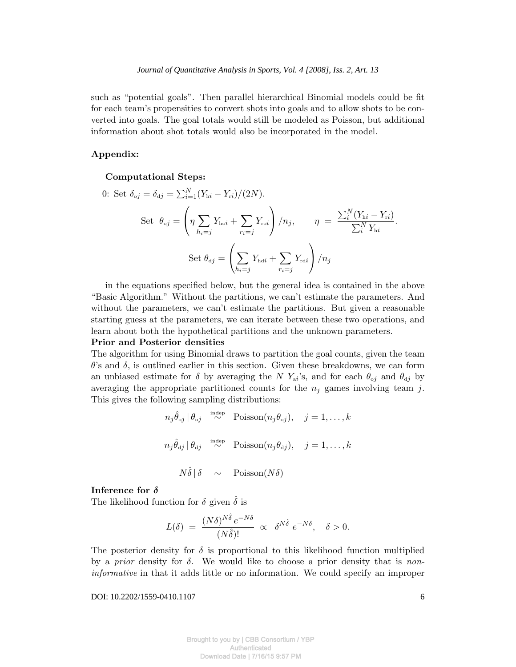such as "potential goals". Then parallel hierarchical Binomial models could be fit for each team's propensities to convert shots into goals and to allow shots to be converted into goals. The goal totals would still be modeled as Poisson, but additional information about shot totals would also be incorporated in the model.

#### Appendix:

#### Computational Steps:

0: Set 
$$
\delta_{oj} = \delta_{dj} = \sum_{i=1}^{N} (Y_{hi} - Y_{ri})/(2N)
$$
.  
\nSet  $\theta_{oj} = \left(\eta \sum_{h_i=j} Y_{hoi} + \sum_{r_i=j} Y_{roi}\right)/n_j$ ,  $\eta = \frac{\sum_{i}^{N} (Y_{hi} - Y_{ri})}{\sum_{i}^{N} Y_{hi}}$ .  
\nSet  $\theta_{dj} = \left(\sum_{h_i=j} Y_{hdi} + \sum_{r_i=j} Y_{rdi}\right)/n_j$ 

in the equations specified below, but the general idea is contained in the above "Basic Algorithm." Without the partitions, we can't estimate the parameters. And without the parameters, we can't estimate the partitions. But given a reasonable starting guess at the parameters, we can iterate between these two operations, and learn about both the hypothetical partitions and the unknown parameters.

#### Prior and Posterior densities

The algorithm for using Binomial draws to partition the goal counts, given the team  $\theta$ 's and  $\delta$ , is outlined earlier in this section. Given these breakdowns, we can form an unbiased estimate for  $\delta$  by averaging the N  $Y_{ai}$ 's, and for each  $\theta_{oj}$  and  $\theta_{dj}$  by averaging the appropriate partitioned counts for the  $n_j$  games involving team j. This gives the following sampling distributions:

$$
n_j \hat{\theta}_{oj} | \theta_{oj} \stackrel{\text{indep}}{\sim} \text{Poisson}(n_j \theta_{oj}), \quad j = 1, ..., k
$$
  

$$
n_j \hat{\theta}_{aj} | \theta_{aj} \stackrel{\text{indep}}{\sim} \text{Poisson}(n_j \theta_{aj}), \quad j = 1, ..., k
$$
  

$$
N \hat{\delta} | \delta \sim \text{Poisson}(N \delta)
$$

#### Inference for  $\delta$

The likelihood function for  $\delta$  given  $\delta$  is

$$
L(\delta) = \frac{(N\delta)^{N\hat{\delta}}e^{-N\delta}}{(N\hat{\delta})!} \propto \delta^{N\hat{\delta}} e^{-N\delta}, \quad \delta > 0.
$$

The posterior density for  $\delta$  is proportional to this likelihood function multiplied by a *prior* density for  $\delta$ . We would like to choose a prior density that is noninformative in that it adds little or no information. We could specify an improper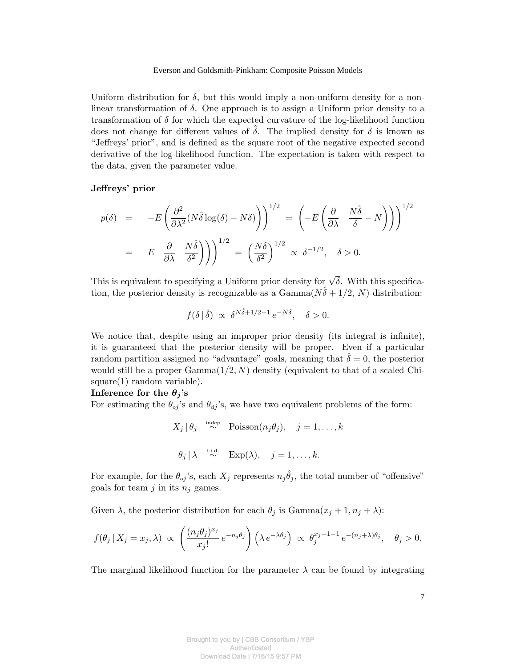Uniform distribution for  $\delta$ , but this would imply a non-uniform density for a nonlinear transformation of  $\delta$ . One approach is to assign a Uniform prior density to a transformation of  $\delta$  for which the expected curvature of the log-likelihood function does not change for different values of  $\hat{\delta}$ . The implied density for  $\delta$  is known as "Jeffreys' prior", and is defined as the square root of the negative expected second derivative of the log-likelihood function. The expectation is taken with respect to the data, given the parameter value.

#### Jeffreys' prior

$$
p(\delta) = -E\left(\frac{\partial^2}{\partial \lambda^2} (N\hat{\delta} \log(\delta) - N\delta) \right)^{1/2} = \left(-E\left(\frac{\partial}{\partial \lambda} \frac{N\hat{\delta}}{\delta} - N\right)\right)^{1/2}
$$

$$
= E \frac{\partial}{\partial \lambda} \frac{N\hat{\delta}}{\delta^2} \right) \Big)^{1/2} = \left(\frac{N\delta}{\delta^2}\right)^{1/2} \propto \delta^{-1/2}, \quad \delta > 0.
$$

This is equivalent to specifying a Uniform prior density for  $\sqrt{\delta}$ . With this specification, the posterior density is recognizable as a  $Gamma(N\hat{\delta} + 1/2, N)$  distribution:

$$
f(\delta \mid \hat{\delta}) \ \propto \ \delta^{N \hat{\delta} + 1/2 - 1} \, e^{-N \delta}, \quad \delta > 0.
$$

We notice that, despite using an improper prior density (its integral is infinite), it is guaranteed that the posterior density will be proper. Even if a particular random partition assigned no "advantage" goals, meaning that  $\hat{\delta} = 0$ , the posterior would still be a proper  $Gamma(1/2, N)$  density (equivalent to that of a scaled Chisquare(1) random variable).

#### Inference for the  $\theta_j$ 's

For estimating the  $\theta_{oj}$ 's and  $\theta_{dj}$ 's, we have two equivalent problems of the form:

$$
X_j | \theta_j \stackrel{\text{indep}}{\sim} \text{Poisson}(n_j \theta_j), \quad j = 1, ..., k
$$
  
 $\theta_j | \lambda \stackrel{\text{i.i.d.}}{\sim} \text{Exp}(\lambda), \quad j = 1, ..., k.$ 

For example, for the  $\theta_{oj}$ 's, each  $X_j$  represents  $n_j \hat{\theta}_j$ , the total number of "offensive" goals for team j in its  $n_i$  games.

Given  $\lambda$ , the posterior distribution for each  $\theta_j$  is Gamma $(x_j + 1, n_j + \lambda)$ :

$$
f(\theta_j \mid X_j = x_j, \lambda) \propto \left(\frac{(n_j \theta_j)^{x_j}}{x_j!} e^{-n_j \theta_j}\right) \left(\lambda e^{-\lambda \theta_j}\right) \propto \theta_j^{x_j+1-1} e^{-(n_j+\lambda)\theta_j}, \quad \theta_j > 0.
$$

The marginal likelihood function for the parameter  $\lambda$  can be found by integrating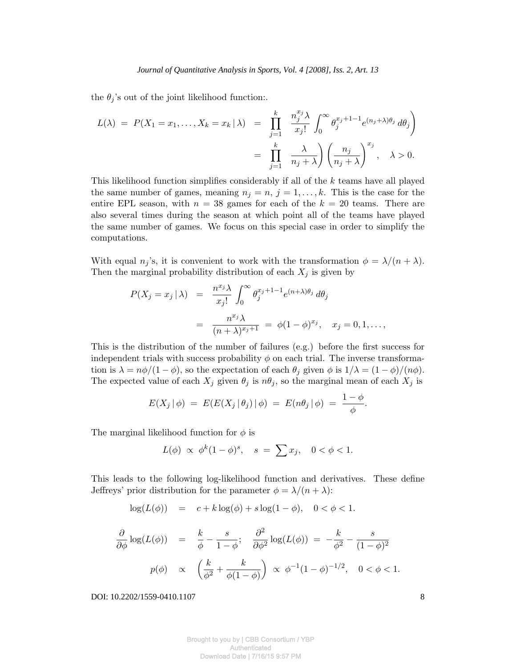the  $\theta_j$ 's out of the joint likelihood function:.

$$
L(\lambda) = P(X_1 = x_1, ..., X_k = x_k | \lambda) = \prod_{j=1}^k \frac{n_j^{x_j} \lambda}{x_j!} \int_0^\infty \theta_j^{x_j+1-1} e^{(n_j+\lambda)\theta_j} d\theta_j
$$

$$
= \prod_{j=1}^k \frac{\lambda}{n_j + \lambda} \left( \frac{n_j}{n_j + \lambda} \right)^{x_j}, \quad \lambda > 0.
$$

This likelihood function simplifies considerably if all of the k teams have all played the same number of games, meaning  $n_j = n$ ,  $j = 1, ..., k$ . This is the case for the entire EPL season, with  $n = 38$  games for each of the  $k = 20$  teams. There are also several times during the season at which point all of the teams have played the same number of games. We focus on this special case in order to simplify the computations.

With equal  $n_j$ 's, it is convenient to work with the transformation  $\phi = \lambda/(n + \lambda)$ . Then the marginal probability distribution of each  $X_j$  is given by

$$
P(X_j = x_j | \lambda) = \frac{n^{x_j} \lambda}{x_j!} \int_0^\infty \theta_j^{x_j+1-1} e^{(n+\lambda)\theta_j} d\theta_j
$$
  
= 
$$
\frac{n^{x_j} \lambda}{(n+\lambda)^{x_j+1}} = \phi(1-\phi)^{x_j}, \quad x_j = 0, 1, \dots,
$$

This is the distribution of the number of failures (e.g.) before the first success for independent trials with success probability  $\phi$  on each trial. The inverse transformation is  $\lambda = n\phi/(1 - \phi)$ , so the expectation of each  $\theta_j$  given  $\phi$  is  $1/\lambda = (1 - \phi)/(n\phi)$ . The expected value of each  $X_j$  given  $\theta_j$  is  $n\theta_j$ , so the marginal mean of each  $X_j$  is

$$
E(X_j | \phi) = E(E(X_j | \theta_j) | \phi) = E(n\theta_j | \phi) = \frac{1 - \phi}{\phi}.
$$

The marginal likelihood function for  $\phi$  is

$$
L(\phi) \propto \phi^k (1 - \phi)^s
$$
,  $s = \sum x_j$ ,  $0 < \phi < 1$ .

This leads to the following log-likelihood function and derivatives. These define Jeffreys' prior distribution for the parameter  $\phi = \lambda/(n + \lambda)$ :

$$
\log(L(\phi)) = c + k \log(\phi) + s \log(1 - \phi), \quad 0 < \phi < 1.
$$

$$
\frac{\partial}{\partial \phi} \log(L(\phi)) = \frac{k}{\phi} - \frac{s}{1 - \phi}; \quad \frac{\partial^2}{\partial \phi^2} \log(L(\phi)) = -\frac{k}{\phi^2} - \frac{s}{(1 - \phi)^2}
$$

$$
p(\phi) \propto \left(\frac{k}{\phi^2} + \frac{k}{\phi(1 - \phi)}\right) \propto \phi^{-1}(1 - \phi)^{-1/2}, \quad 0 < \phi < 1.
$$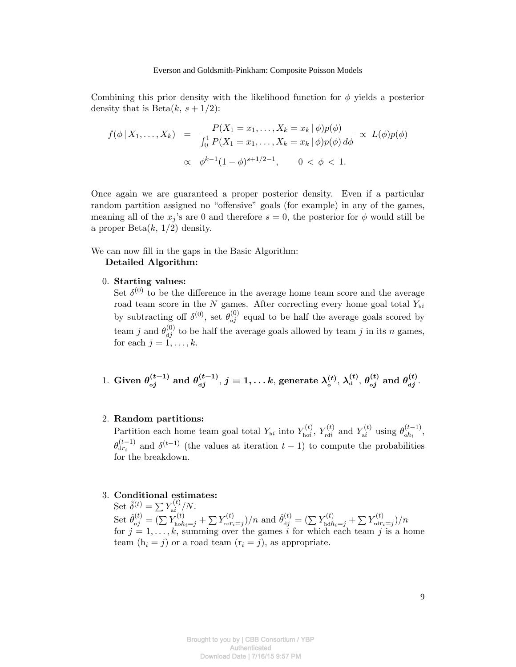Combining this prior density with the likelihood function for  $\phi$  yields a posterior density that is  $Beta(k, s + 1/2)$ :

$$
f(\phi | X_1, ..., X_k) = \frac{P(X_1 = x_1, ..., X_k = x_k | \phi) p(\phi)}{\int_0^1 P(X_1 = x_1, ..., X_k = x_k | \phi) p(\phi) d\phi} \propto L(\phi) p(\phi)
$$
  
 
$$
\propto \phi^{k-1} (1 - \phi)^{s+1/2 - 1}, \qquad 0 < \phi < 1.
$$

Once again we are guaranteed a proper posterior density. Even if a particular random partition assigned no "offensive" goals (for example) in any of the games, meaning all of the  $x_j$ 's are 0 and therefore  $s = 0$ , the posterior for  $\phi$  would still be a proper  $Beta(k, 1/2)$  density.

We can now fill in the gaps in the Basic Algorithm:

#### Detailed Algorithm:

#### 0. Starting values:

Set  $\delta^{(0)}$  to be the difference in the average home team score and the average road team score in the  $N$  games. After correcting every home goal total  $Y_{hi}$ by subtracting off  $\delta^{(0)}$ , set  $\theta_{oj}^{(0)}$  equal to be half the average goals scored by team j and  $\theta_{dj}^{(0)}$  to be half the average goals allowed by team j in its n games, for each  $j = 1, \ldots, k$ .

1. Given 
$$
\theta_{oj}^{(t-1)}
$$
 and  $\theta_{dj}^{(t-1)}$ ,  $j = 1, \ldots k$ , generate  $\lambda_o^{(t)}$ ,  $\lambda_d^{(t)}$ ,  $\theta_{oj}^{(t)}$  and  $\theta_{dj}^{(t)}$ .

#### 2. Random partitions:

Partition each home team goal total  $Y_{hi}$  into  $Y_{hoi}^{(t)}$ ,  $Y_{rdi}^{(t)}$  and  $Y_{ai}^{(t)}$  using  $\theta_{oh_i}^{(t-1)}$ ,  $\theta_{\text{dr}_i}^{(t-1)}$  and  $\delta^{(t-1)}$  (the values at iteration  $t-1$ ) to compute the probabilities for the breakdown.

#### 3. Conditional estimates:

Set  $\hat{\delta}^{(t)} = \sum Y_{ai}^{(t)} / N$ . Set  $\hat{\theta}_{oj}^{(t)} = (\sum Y_{\text{ho}}^{(t)} t_{\text{ho}}^2 + \sum Y_{\text{ror}_i=j}^{(t)})/n$  and  $\hat{\theta}_{dj}^{(t)} = (\sum Y_{\text{hd}h_i=j}^{(t)} + \sum Y_{\text{rdr}_i=j}^{(t)})/n$ for  $j = 1, \ldots, k$ , summing over the games i for which each team j is a home team  $(h_i = j)$  or a road team  $(r_i = j)$ , as appropriate.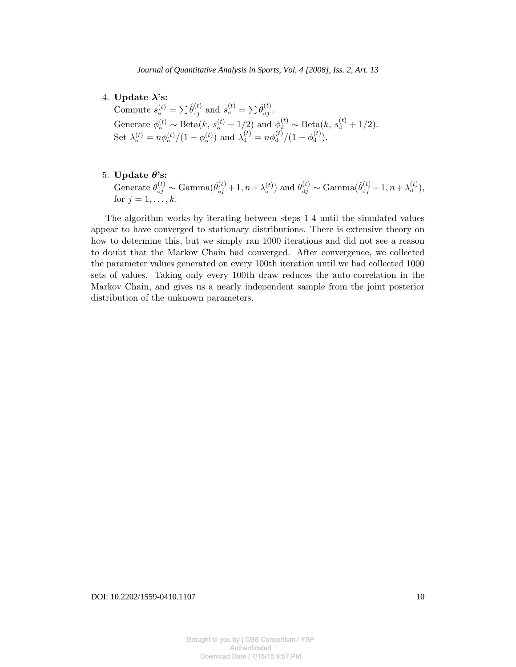- 4. Update  $\lambda$ 's: Compute  $s_o^{(t)} = \sum \hat{\theta}_{oj}^{(t)}$  and  $s_d^{(t)} = \sum \hat{\theta}_{dj}^{(t)}$ . Generate  $\phi_o^{(t)} \sim \text{Beta}(k, s_o^{(t)} + 1/2)$  and  $\phi_d^{(t)} \sim \text{Beta}(k, s_d^{(t)} + 1/2)$ . Set  $\lambda_0^{(t)} = n\phi_0^{(t)}/(1-\phi_0^{(t)})$  and  $\lambda_0^{(t)} = n\phi_0^{(t)}/(1-\phi_0^{(t)})$ .
- 5. Update  $\theta$ 's: Generate  $\theta_{oj}^{(t)} \sim \text{Gamma}(\hat{\theta}_{oj}^{(t)} + 1, n + \lambda_{o}^{(t)})$  and  $\theta_{dj}^{(t)} \sim \text{Gamma}(\hat{\theta}_{dj}^{(t)} + 1, n + \lambda_{d}^{(t)}),$ for  $j = 1, \ldots, k$ .

The algorithm works by iterating between steps 1-4 until the simulated values appear to have converged to stationary distributions. There is extensive theory on how to determine this, but we simply ran 1000 iterations and did not see a reason to doubt that the Markov Chain had converged. After convergence, we collected the parameter values generated on every 100th iteration until we had collected 1000 sets of values. Taking only every 100th draw reduces the auto-correlation in the Markov Chain, and gives us a nearly independent sample from the joint posterior distribution of the unknown parameters.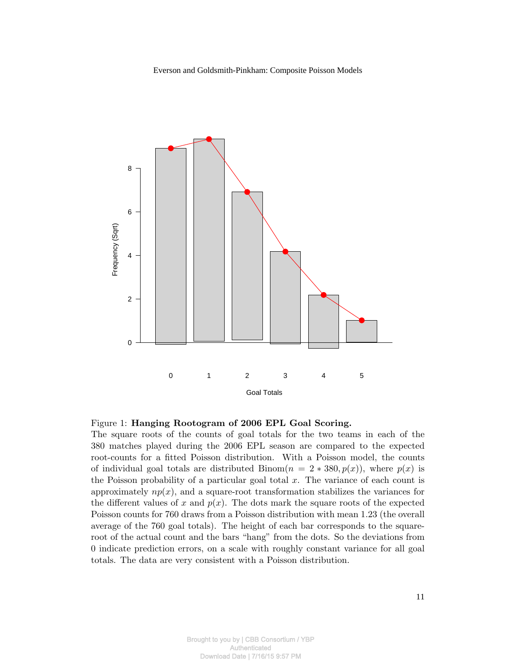

#### Figure 1: Hanging Rootogram of 2006 EPL Goal Scoring.

The square roots of the counts of goal totals for the two teams in each of the 380 matches played during the 2006 EPL season are compared to the expected root-counts for a fitted Poisson distribution. With a Poisson model, the counts of individual goal totals are distributed Binom $(n = 2 * 380, p(x))$ , where  $p(x)$  is the Poisson probability of a particular goal total  $x$ . The variance of each count is approximately  $np(x)$ , and a square-root transformation stabilizes the variances for the different values of x and  $p(x)$ . The dots mark the square roots of the expected Poisson counts for 760 draws from a Poisson distribution with mean 1.23 (the overall average of the 760 goal totals). The height of each bar corresponds to the squareroot of the actual count and the bars "hang" from the dots. So the deviations from 0 indicate prediction errors, on a scale with roughly constant variance for all goal totals. The data are very consistent with a Poisson distribution.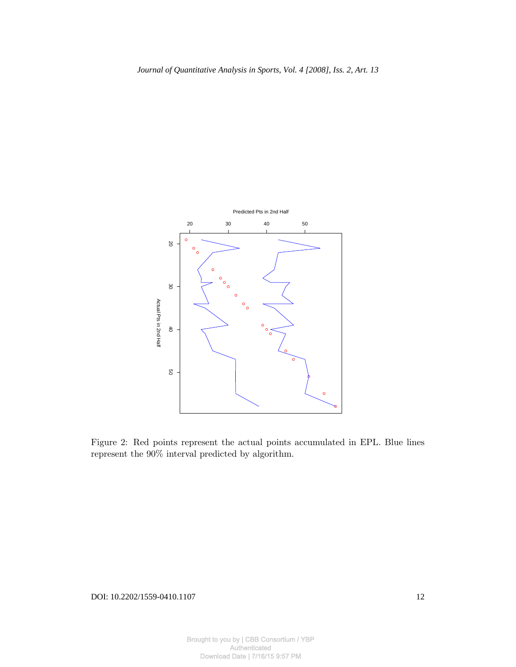

Figure 2: Red points represent the actual points accumulated in EPL. Blue lines represent the 90% interval predicted by algorithm.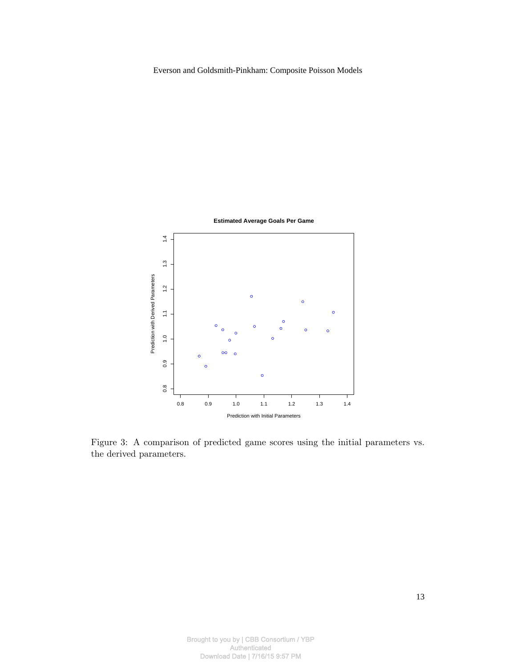

Figure 3: A comparison of predicted game scores using the initial parameters vs. the derived parameters.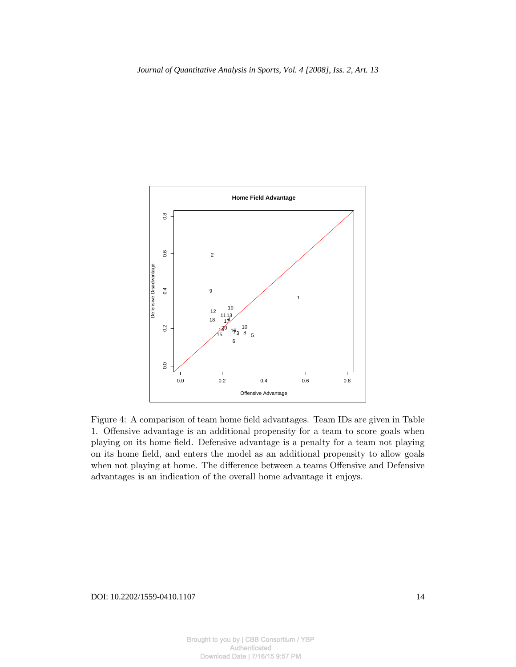

Figure 4: A comparison of team home field advantages. Team IDs are given in Table 1. Offensive advantage is an additional propensity for a team to score goals when playing on its home field. Defensive advantage is a penalty for a team not playing on its home field, and enters the model as an additional propensity to allow goals when not playing at home. The difference between a teams Offensive and Defensive advantages is an indication of the overall home advantage it enjoys.